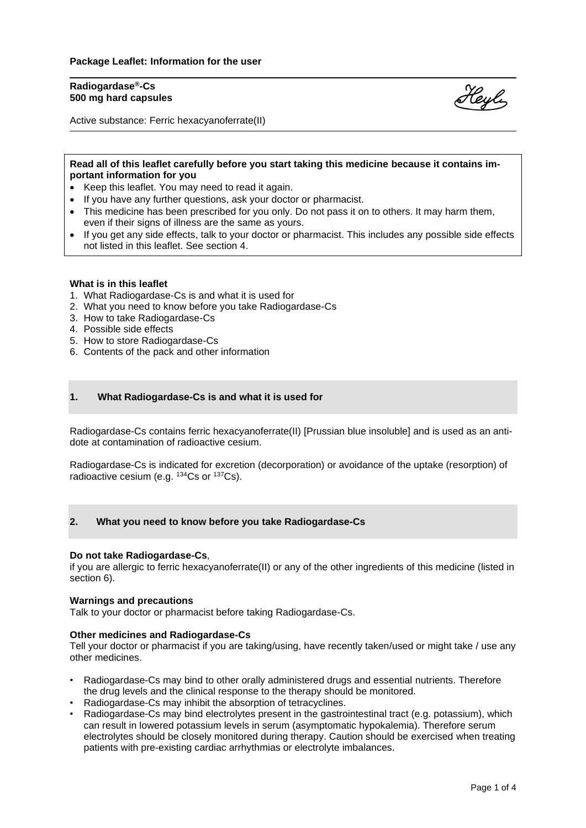# **Radiogardase®-Cs 500 mg hard capsules**



Active substance: Ferric hexacyanoferrate(II)

# **Read all of this leaflet carefully before you start taking this medicine because it contains important information for you**

- Keep this leaflet. You may need to read it again.
- If you have any further questions, ask your doctor or pharmacist.
- This medicine has been prescribed for you only. Do not pass it on to others. It may harm them, even if their signs of illness are the same as yours.
- If you get any side effects, talk to your doctor or pharmacist. This includes any possible side effects not listed in this leaflet. See section 4.

#### **What is in this leaflet**

- 1. What Radiogardase-Cs is and what it is used for
- 2. What you need to know before you take Radiogardase-Cs
- 3. How to take Radiogardase-Cs
- 4. Possible side effects
- 5. How to store Radiogardase-Cs
- 6. Contents of the pack and other information

## **1. What Radiogardase-Cs is and what it is used for**

Radiogardase-Cs contains ferric hexacyanoferrate(II) [Prussian blue insoluble] and is used as an antidote at contamination of radioactive cesium.

Radiogardase-Cs is indicated for excretion (decorporation) or avoidance of the uptake (resorption) of radioactive cesium (e.g. <sup>134</sup>Cs or <sup>137</sup>Cs).

## **2. What you need to know before you take Radiogardase-Cs**

#### **Do not take Radiogardase-Cs**,

if you are allergic to ferric hexacyanoferrate(II) or any of the other ingredients of this medicine (listed in section 6).

#### **Warnings and precautions**

Talk to your doctor or pharmacist before taking Radiogardase-Cs.

### **Other medicines and Radiogardase-Cs**

Tell your doctor or pharmacist if you are taking/using, have recently taken/used or might take / use any other medicines.

- Radiogardase-Cs may bind to other orally administered drugs and essential nutrients. Therefore the drug levels and the clinical response to the therapy should be monitored.
- Radiogardase-Cs may inhibit the absorption of tetracyclines.
- Radiogardase-Cs may bind electrolytes present in the gastrointestinal tract (e.g. potassium), which can result in lowered potassium levels in serum (asymptomatic hypokalemia). Therefore serum electrolytes should be closely monitored during therapy. Caution should be exercised when treating patients with pre-existing cardiac arrhythmias or electrolyte imbalances.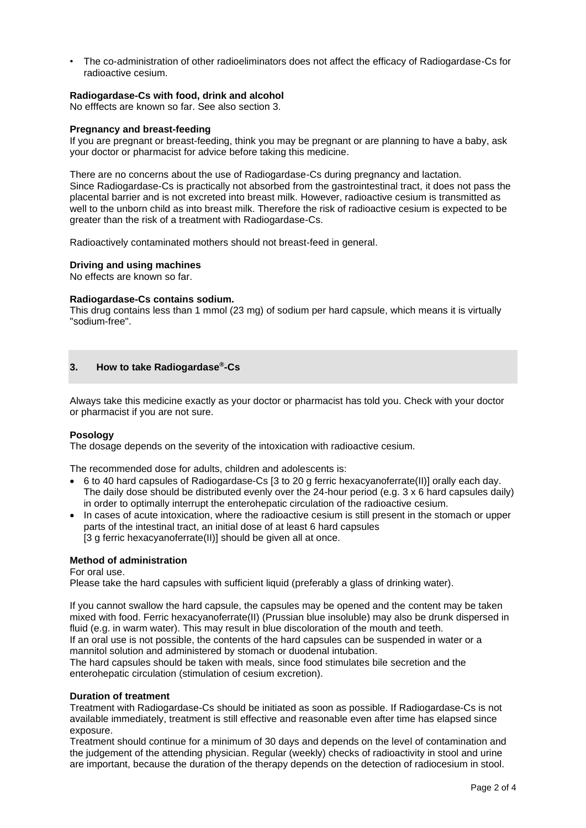• The co-administration of other radioeliminators does not affect the efficacy of Radiogardase-Cs for radioactive cesium.

# **Radiogardase-Cs with food, drink and alcohol**

No efffects are known so far. See also section 3.

## **Pregnancy and breast-feeding**

If you are pregnant or breast-feeding, think you may be pregnant or are planning to have a baby, ask your doctor or pharmacist for advice before taking this medicine.

There are no concerns about the use of Radiogardase-Cs during pregnancy and lactation. Since Radiogardase-Cs is practically not absorbed from the gastrointestinal tract, it does not pass the placental barrier and is not excreted into breast milk. However, radioactive cesium is transmitted as well to the unborn child as into breast milk. Therefore the risk of radioactive cesium is expected to be greater than the risk of a treatment with Radiogardase-Cs.

Radioactively contaminated mothers should not breast-feed in general.

#### **Driving and using machines**

No effects are known so far.

## **Radiogardase-Cs contains sodium.**

This drug contains less than 1 mmol (23 mg) of sodium per hard capsule, which means it is virtually "sodium-free".

## **3. How to take Radiogardase®-Cs**

Always take this medicine exactly as your doctor or pharmacist has told you. Check with your doctor or pharmacist if you are not sure.

## **Posology**

The dosage depends on the severity of the intoxication with radioactive cesium.

The recommended dose for adults, children and adolescents is:

- 6 to 40 hard capsules of Radiogardase-Cs [3 to 20 g ferric hexacyanoferrate(II)] orally each day. The daily dose should be distributed evenly over the 24-hour period (e.g. 3 x 6 hard capsules daily) in order to optimally interrupt the enterohepatic circulation of the radioactive cesium.
- In cases of acute intoxication, where the radioactive cesium is still present in the stomach or upper parts of the intestinal tract, an initial dose of at least 6 hard capsules [3 g ferric hexacyanoferrate(II)] should be given all at once.

# **Method of administration**

For oral use.

Please take the hard capsules with sufficient liquid (preferably a glass of drinking water).

If you cannot swallow the hard capsule, the capsules may be opened and the content may be taken mixed with food. Ferric hexacyanoferrate(II) (Prussian blue insoluble) may also be drunk dispersed in fluid (e.g. in warm water). This may result in blue discoloration of the mouth and teeth. If an oral use is not possible, the contents of the hard capsules can be suspended in water or a mannitol solution and administered by stomach or duodenal intubation.

The hard capsules should be taken with meals, since food stimulates bile secretion and the enterohepatic circulation (stimulation of cesium excretion).

#### **Duration of treatment**

Treatment with Radiogardase-Cs should be initiated as soon as possible. If Radiogardase-Cs is not available immediately, treatment is still effective and reasonable even after time has elapsed since exposure.

Treatment should continue for a minimum of 30 days and depends on the level of contamination and the judgement of the attending physician. Regular (weekly) checks of radioactivity in stool and urine are important, because the duration of the therapy depends on the detection of radiocesium in stool.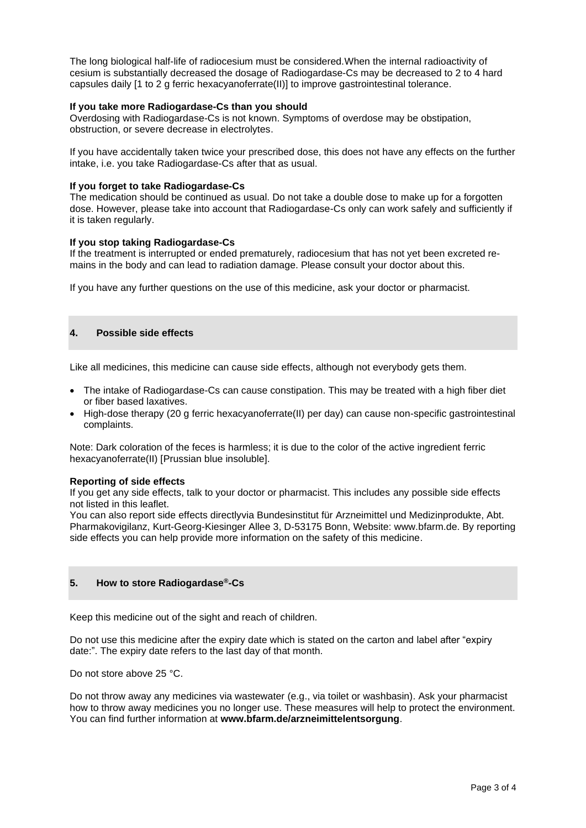The long biological half-life of radiocesium must be considered.When the internal radioactivity of cesium is substantially decreased the dosage of Radiogardase-Cs may be decreased to 2 to 4 hard capsules daily [1 to 2 g ferric hexacyanoferrate(II)] to improve gastrointestinal tolerance.

# **If you take more Radiogardase-Cs than you should**

Overdosing with Radiogardase-Cs is not known. Symptoms of overdose may be obstipation, obstruction, or severe decrease in electrolytes.

If you have accidentally taken twice your prescribed dose, this does not have any effects on the further intake, i.e. you take Radiogardase-Cs after that as usual.

# **If you forget to take Radiogardase-Cs**

The medication should be continued as usual. Do not take a double dose to make up for a forgotten dose. However, please take into account that Radiogardase-Cs only can work safely and sufficiently if it is taken regularly.

## **If you stop taking Radiogardase-Cs**

If the treatment is interrupted or ended prematurely, radiocesium that has not yet been excreted remains in the body and can lead to radiation damage. Please consult your doctor about this.

If you have any further questions on the use of this medicine, ask your doctor or pharmacist.

# **4. Possible side effects**

Like all medicines, this medicine can cause side effects, although not everybody gets them.

- The intake of Radiogardase-Cs can cause constipation. This may be treated with a high fiber diet or fiber based laxatives.
- High-dose therapy (20 g ferric hexacyanoferrate(II) per day) can cause non-specific gastrointestinal complaints.

Note: Dark coloration of the feces is harmless; it is due to the color of the active ingredient ferric hexacyanoferrate(II) [Prussian blue insoluble].

## **Reporting of side effects**

If you get any side effects, talk to your doctor or pharmacist. This includes any possible side effects not listed in this leaflet.

You can also report side effects directlyvia Bundesinstitut für Arzneimittel und Medizinprodukte, Abt. Pharmakovigilanz, Kurt-Georg-Kiesinger Allee 3, D-53175 Bonn, Website: www.bfarm.de. By reporting side effects you can help provide more information on the safety of this medicine.

# **5. How to store Radiogardase®-Cs**

Keep this medicine out of the sight and reach of children.

Do not use this medicine after the expiry date which is stated on the carton and label after "expiry date:". The expiry date refers to the last day of that month.

Do not store above 25 °C.

Do not throw away any medicines via wastewater (e.g., via toilet or washbasin). Ask your pharmacist how to throw away medicines you no longer use. These measures will help to protect the environment. You can find further information at **www.bfarm.de/arzneimittelentsorgung**.